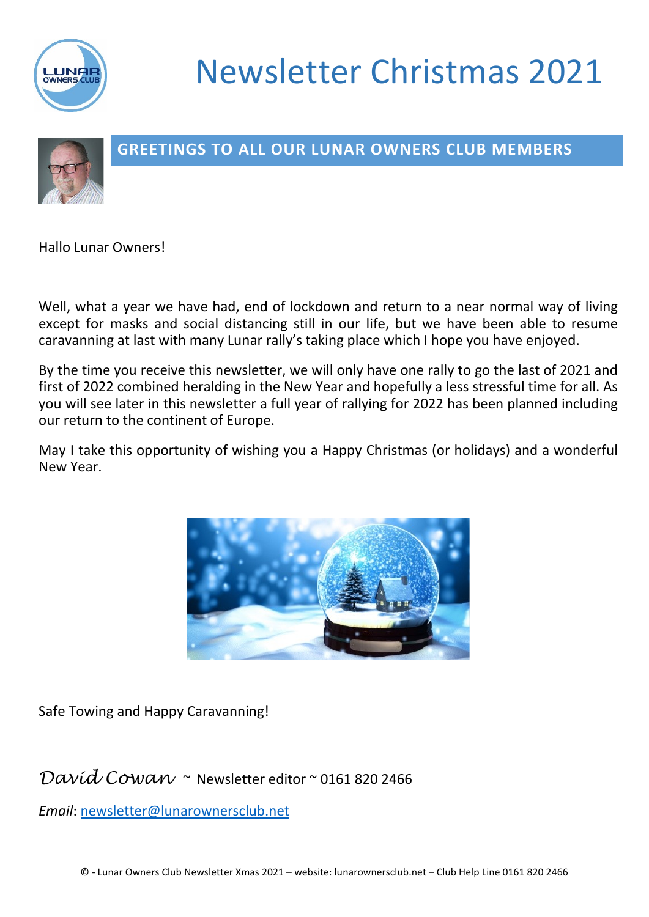

# Newsletter Christmas 2021



## **GREETINGS TO ALL OUR LUNAR OWNERS CLUB MEMBERS**

Hallo Lunar Owners!

Well, what a year we have had, end of lockdown and return to a near normal way of living except for masks and social distancing still in our life, but we have been able to resume caravanning at last with many Lunar rally's taking place which I hope you have enjoyed.

By the time you receive this newsletter, we will only have one rally to go the last of 2021 and first of 2022 combined heralding in the New Year and hopefully a less stressful time for all. As you will see later in this newsletter a full year of rallying for 2022 has been planned including our return to the continent of Europe.

May I take this opportunity of wishing you a Happy Christmas (or holidays) and a wonderful New Year.



Safe Towing and Happy Caravanning!

## *David Cowan* ~ Newsletter editor ~ 0161 820 2466

*Email*: [newsletter@lunarownersclub.net](mailto:newsletter@lunarownersclub.net)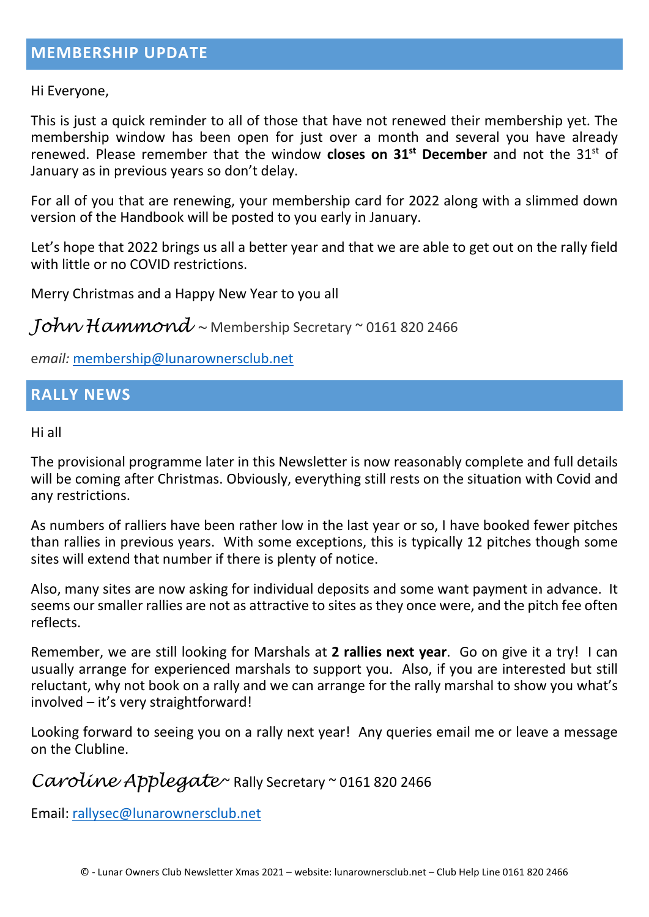Hi Everyone,

This is just a quick reminder to all of those that have not renewed their membership yet. The membership window has been open for just over a month and several you have already renewed. Please remember that the window **closes on 31st December** and not the 31st of January as in previous years so don't delay.

For all of you that are renewing, your membership card for 2022 along with a slimmed down version of the Handbook will be posted to you early in January.

Let's hope that 2022 brings us all a better year and that we are able to get out on the rally field with little or no COVID restrictions.

Merry Christmas and a Happy New Year to you all

*John Hammond ~* Membership Secretary ~ 0161 820 2466

e*mail:* [membership@lunarownersclub.net](mailto:membership@lunarownersclub.net)

### **RALLY NEWS**

Hi all

The provisional programme later in this Newsletter is now reasonably complete and full details will be coming after Christmas. Obviously, everything still rests on the situation with Covid and any restrictions.

As numbers of ralliers have been rather low in the last year or so, I have booked fewer pitches than rallies in previous years. With some exceptions, this is typically 12 pitches though some sites will extend that number if there is plenty of notice.

Also, many sites are now asking for individual deposits and some want payment in advance. It seems our smaller rallies are not as attractive to sites as they once were, and the pitch fee often reflects.

Remember, we are still looking for Marshals at **2 rallies next year**. Go on give it a try! I can usually arrange for experienced marshals to support you. Also, if you are interested but still reluctant, why not book on a rally and we can arrange for the rally marshal to show you what's involved – it's very straightforward!

Looking forward to seeing you on a rally next year! Any queries email me or leave a message on the Clubline.

*Caroline Applegate* ~ Rally Secretary ~ 0161 820 2466

Email: [rallysec@lunarownersclub.net](mailto:rallysec@lunarownersclub.net)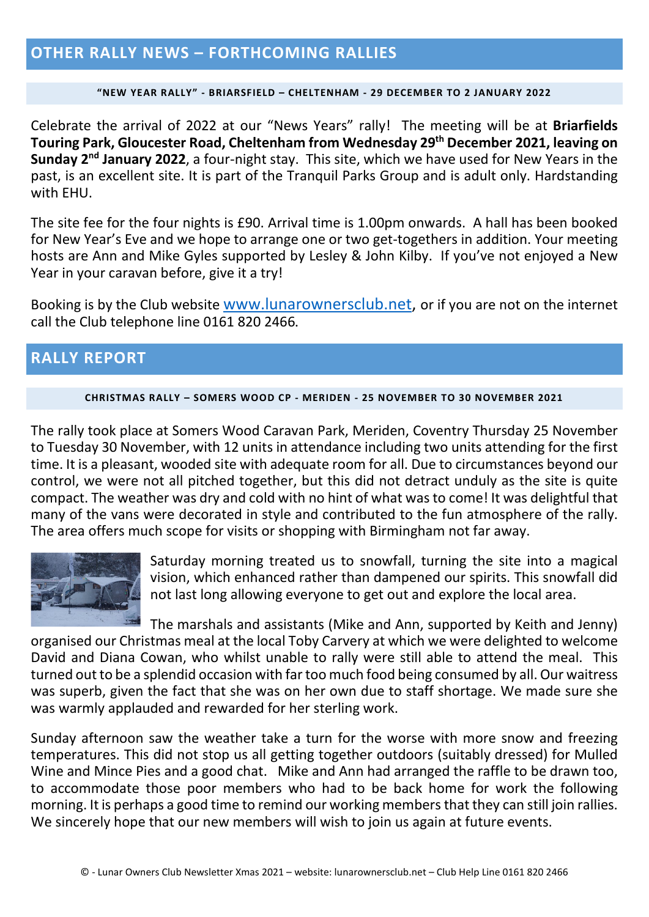### **OTHER RALLY NEWS – FORTHCOMING RALLIES**

#### **"NEW YEAR RALLY" - BRIARSFIELD – CHELTENHAM - 29 DECEMBER TO 2 JANUARY 2022**

Celebrate the arrival of 2022 at our "News Years" rally! The meeting will be at **Briarfields Touring Park, Gloucester Road, Cheltenham from Wednesday 29th December 2021, leaving on Sunday 2nd January 2022**, a four-night stay. This site, which we have used for New Years in the past, is an excellent site. It is part of the Tranquil Parks Group and is adult only. Hardstanding with EHU.

The site fee for the four nights is £90. Arrival time is 1.00pm onwards. A hall has been booked for New Year's Eve and we hope to arrange one or two get-togethers in addition. Your meeting hosts are Ann and Mike Gyles supported by Lesley & John Kilby. If you've not enjoyed a New Year in your caravan before, give it a try!

Booking is by the Club website [www.lunarownersclub.net,](http://www.lunarownersclub.net/) or if you are not on the internet call the Club telephone line 0161 820 2466**.**

### **RALLY REPORT**

#### **CHRISTMAS RALLY – SOMERS WOOD CP - MERIDEN - 25 NOVEMBER TO 30 NOVEMBER 2021**

The rally took place at Somers Wood Caravan Park, Meriden, Coventry Thursday 25 November to Tuesday 30 November, with 12 units in attendance including two units attending for the first time. It is a pleasant, wooded site with adequate room for all. Due to circumstances beyond our control, we were not all pitched together, but this did not detract unduly as the site is quite compact. The weather was dry and cold with no hint of what was to come! It was delightful that many of the vans were decorated in style and contributed to the fun atmosphere of the rally. The area offers much scope for visits or shopping with Birmingham not far away.



Saturday morning treated us to snowfall, turning the site into a magical vision, which enhanced rather than dampened our spirits. This snowfall did not last long allowing everyone to get out and explore the local area.

The marshals and assistants (Mike and Ann, supported by Keith and Jenny) organised our Christmas meal at the local Toby Carvery at which we were delighted to welcome David and Diana Cowan, who whilst unable to rally were still able to attend the meal. This turned out to be a splendid occasion with far too much food being consumed by all. Our waitress was superb, given the fact that she was on her own due to staff shortage. We made sure she was warmly applauded and rewarded for her sterling work.

Sunday afternoon saw the weather take a turn for the worse with more snow and freezing temperatures. This did not stop us all getting together outdoors (suitably dressed) for Mulled Wine and Mince Pies and a good chat. Mike and Ann had arranged the raffle to be drawn too, to accommodate those poor members who had to be back home for work the following morning. It is perhaps a good time to remind our working members that they can still join rallies. We sincerely hope that our new members will wish to join us again at future events.